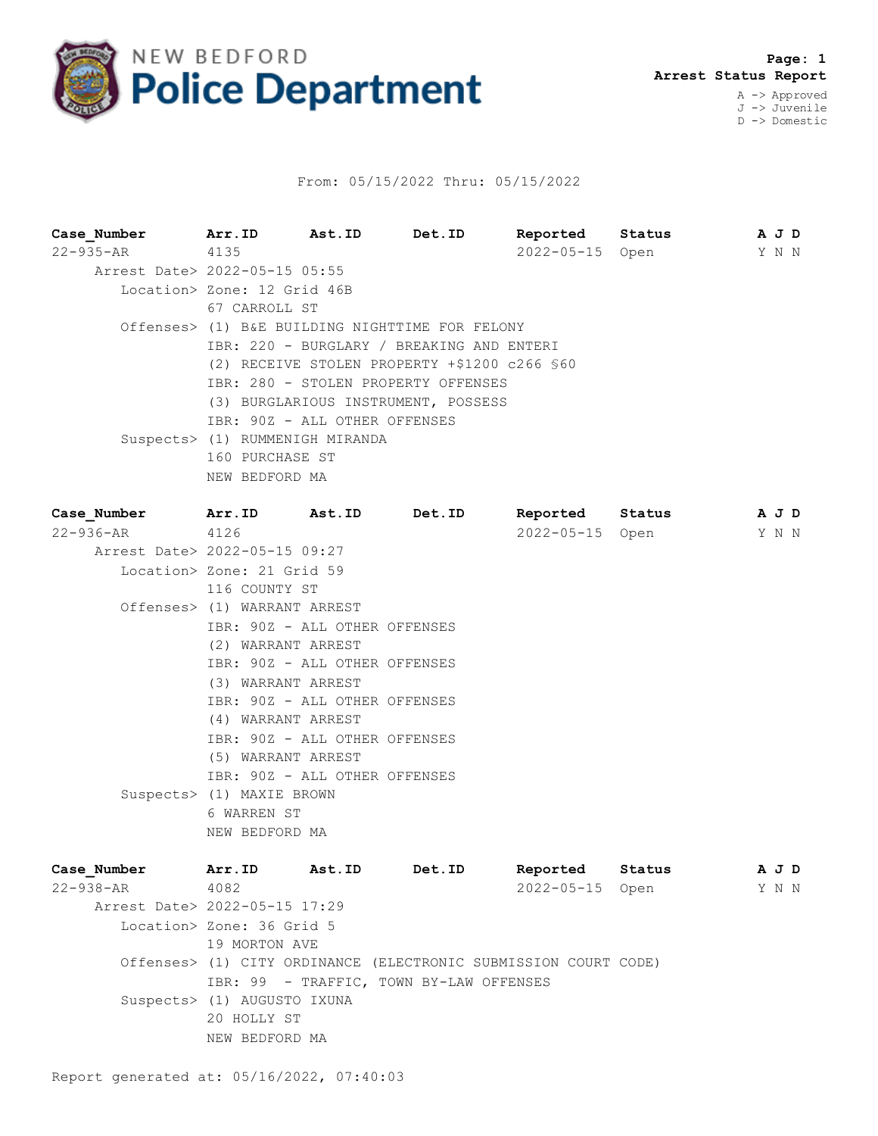

## From: 05/15/2022 Thru: 05/15/2022

| Case Number Arr. ID Ast. ID Det. ID           |                                                     |                                                 |                                     | Reported Status |        | A J D |  |  |  |  |  |
|-----------------------------------------------|-----------------------------------------------------|-------------------------------------------------|-------------------------------------|-----------------|--------|-------|--|--|--|--|--|
| $22 - 935 - AR$                               | 4135                                                |                                                 |                                     | 2022-05-15 Open |        | Y N N |  |  |  |  |  |
| Arrest Date> 2022-05-15 05:55                 |                                                     |                                                 |                                     |                 |        |       |  |  |  |  |  |
|                                               | Location> Zone: 12 Grid 46B                         |                                                 |                                     |                 |        |       |  |  |  |  |  |
|                                               | 67 CARROLL ST                                       |                                                 |                                     |                 |        |       |  |  |  |  |  |
|                                               |                                                     | Offenses> (1) B&E BUILDING NIGHTTIME FOR FELONY |                                     |                 |        |       |  |  |  |  |  |
|                                               | IBR: 220 - BURGLARY / BREAKING AND ENTERI           |                                                 |                                     |                 |        |       |  |  |  |  |  |
|                                               | (2) RECEIVE STOLEN PROPERTY +\$1200 c266 \$60       |                                                 |                                     |                 |        |       |  |  |  |  |  |
|                                               | IBR: 280 - STOLEN PROPERTY OFFENSES                 |                                                 |                                     |                 |        |       |  |  |  |  |  |
|                                               |                                                     |                                                 | (3) BURGLARIOUS INSTRUMENT, POSSESS |                 |        |       |  |  |  |  |  |
|                                               | IBR: 90Z - ALL OTHER OFFENSES                       |                                                 |                                     |                 |        |       |  |  |  |  |  |
|                                               | Suspects> (1) RUMMENIGH MIRANDA                     |                                                 |                                     |                 |        |       |  |  |  |  |  |
|                                               |                                                     | 160 PURCHASE ST                                 |                                     |                 |        |       |  |  |  |  |  |
|                                               | NEW BEDFORD MA                                      |                                                 |                                     |                 |        |       |  |  |  |  |  |
|                                               |                                                     |                                                 |                                     |                 |        |       |  |  |  |  |  |
| Case Number Arr. ID Ast. ID<br>22-936-AR 4126 |                                                     |                                                 | Det.ID                              | Reported        | Status | A J D |  |  |  |  |  |
| Arrest Date> 2022-05-15 09:27                 |                                                     |                                                 |                                     | 2022-05-15 Open |        | Y N N |  |  |  |  |  |
|                                               | Location> Zone: 21 Grid 59                          |                                                 |                                     |                 |        |       |  |  |  |  |  |
|                                               | 116 COUNTY ST                                       |                                                 |                                     |                 |        |       |  |  |  |  |  |
|                                               | Offenses> (1) WARRANT ARREST                        |                                                 |                                     |                 |        |       |  |  |  |  |  |
|                                               | IBR: 90Z - ALL OTHER OFFENSES                       |                                                 |                                     |                 |        |       |  |  |  |  |  |
|                                               |                                                     |                                                 |                                     |                 |        |       |  |  |  |  |  |
|                                               | (2) WARRANT ARREST<br>IBR: 90Z - ALL OTHER OFFENSES |                                                 |                                     |                 |        |       |  |  |  |  |  |
|                                               | (3) WARRANT ARREST                                  |                                                 |                                     |                 |        |       |  |  |  |  |  |
|                                               | IBR: 90Z - ALL OTHER OFFENSES                       |                                                 |                                     |                 |        |       |  |  |  |  |  |
|                                               | (4) WARRANT ARREST                                  |                                                 |                                     |                 |        |       |  |  |  |  |  |
|                                               | IBR: 90Z - ALL OTHER OFFENSES                       |                                                 |                                     |                 |        |       |  |  |  |  |  |
|                                               | (5) WARRANT ARREST                                  |                                                 |                                     |                 |        |       |  |  |  |  |  |
|                                               | IBR: 90Z - ALL OTHER OFFENSES                       |                                                 |                                     |                 |        |       |  |  |  |  |  |
|                                               | Suspects> (1) MAXIE BROWN                           |                                                 |                                     |                 |        |       |  |  |  |  |  |
|                                               | 6 WARREN ST                                         |                                                 |                                     |                 |        |       |  |  |  |  |  |

| Case Number                   | Arr.ID                      | Ast.ID | Det.ID                                                          | Reported |                 | Status | AJD   |  |
|-------------------------------|-----------------------------|--------|-----------------------------------------------------------------|----------|-----------------|--------|-------|--|
| 22-938-AR                     | 4082                        |        |                                                                 |          | 2022-05-15 Open |        | Y N N |  |
| Arrest Date> 2022-05-15 17:29 |                             |        |                                                                 |          |                 |        |       |  |
|                               | Location> Zone: 36 Grid 5   |        |                                                                 |          |                 |        |       |  |
|                               | 19 MORTON AVE               |        |                                                                 |          |                 |        |       |  |
|                               |                             |        | Offenses> (1) CITY ORDINANCE (ELECTRONIC SUBMISSION COURT CODE) |          |                 |        |       |  |
|                               |                             |        | IBR: 99 - TRAFFIC, TOWN BY-LAW OFFENSES                         |          |                 |        |       |  |
|                               | Suspects> (1) AUGUSTO IXUNA |        |                                                                 |          |                 |        |       |  |
|                               | 20 HOLLY ST                 |        |                                                                 |          |                 |        |       |  |
|                               | NEW BEDFORD MA              |        |                                                                 |          |                 |        |       |  |

NEW BEDFORD MA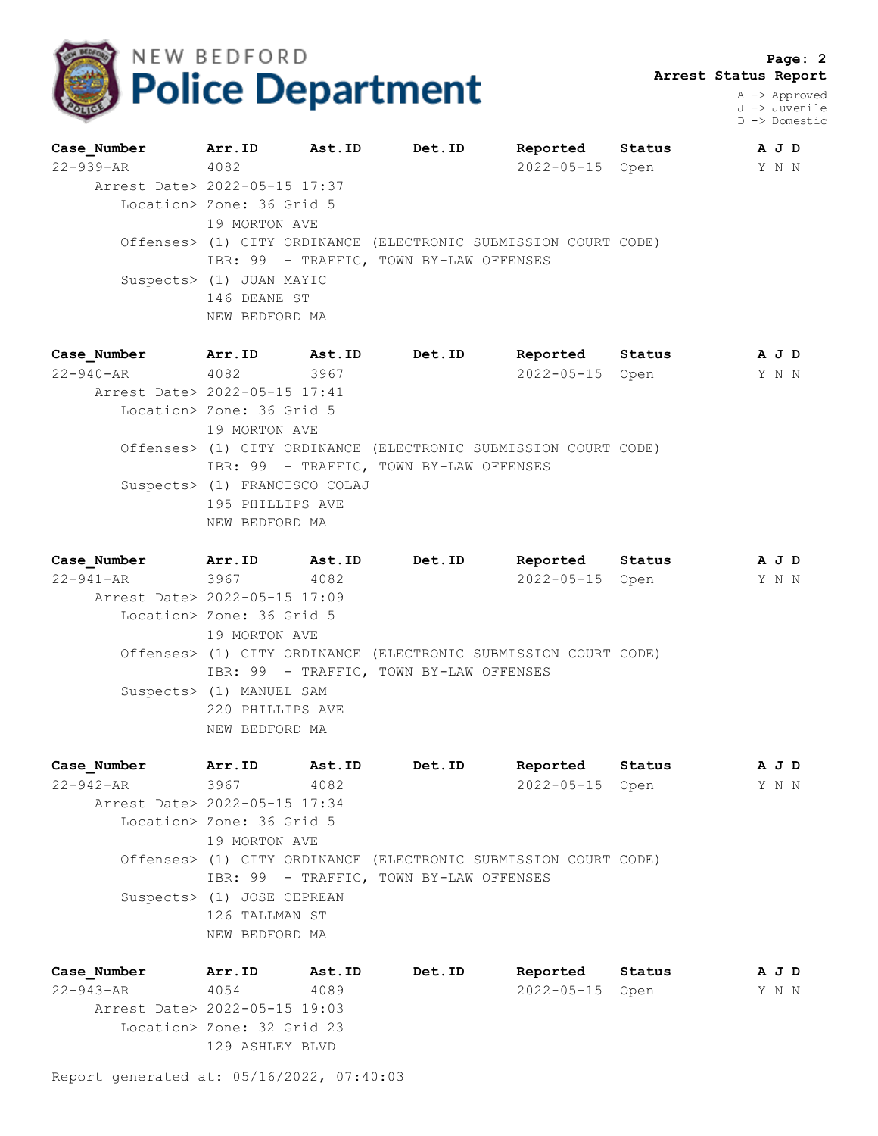

 **Page: 2 Arrest Status Report**

> A -> Approved J -> Juvenile D -> Domestic

| Case Number                   | Arr.ID                    | Ast.ID | Det.ID                                                          | Reported Status | A J D |  |
|-------------------------------|---------------------------|--------|-----------------------------------------------------------------|-----------------|-------|--|
| 22-939-AR                     | 4082                      |        |                                                                 | 2022-05-15 Open | Y N N |  |
| Arrest Date> 2022-05-15 17:37 |                           |        |                                                                 |                 |       |  |
|                               | Location> Zone: 36 Grid 5 |        |                                                                 |                 |       |  |
|                               | 19 MORTON AVE             |        |                                                                 |                 |       |  |
|                               |                           |        | Offenses> (1) CITY ORDINANCE (ELECTRONIC SUBMISSION COURT CODE) |                 |       |  |
|                               |                           |        | IBR: 99 - TRAFFIC, TOWN BY-LAW OFFENSES                         |                 |       |  |
|                               | Suspects> (1) JUAN MAYIC  |        |                                                                 |                 |       |  |
|                               | 146 DEANE ST              |        |                                                                 |                 |       |  |
|                               | NEW BEDFORD MA            |        |                                                                 |                 |       |  |
|                               |                           |        |                                                                 |                 |       |  |

| Case Number                   | Arr.ID                        | Ast.ID | Det.ID                                                          | Reported        | Status | AJD   |
|-------------------------------|-------------------------------|--------|-----------------------------------------------------------------|-----------------|--------|-------|
| 22-940-AR 4082                |                               | 3967   |                                                                 | 2022-05-15 Open |        | Y N N |
| Arrest Date> 2022-05-15 17:41 |                               |        |                                                                 |                 |        |       |
|                               | Location> Zone: 36 Grid 5     |        |                                                                 |                 |        |       |
|                               | 19 MORTON AVE                 |        |                                                                 |                 |        |       |
|                               |                               |        | Offenses> (1) CITY ORDINANCE (ELECTRONIC SUBMISSION COURT CODE) |                 |        |       |
|                               |                               |        | IBR: 99 - TRAFFIC, TOWN BY-LAW OFFENSES                         |                 |        |       |
|                               | Suspects> (1) FRANCISCO COLAJ |        |                                                                 |                 |        |       |
|                               | 195 PHILLIPS AVE              |        |                                                                 |                 |        |       |
|                               | NEW BEDFORD MA                |        |                                                                 |                 |        |       |

| Case Number                   | Arr.ID Ast.ID             |      | Det.ID                                                          | Reported Status | AJD   |  |
|-------------------------------|---------------------------|------|-----------------------------------------------------------------|-----------------|-------|--|
| 22-941-AR 3967                |                           | 4082 |                                                                 | 2022-05-15 Open | Y N N |  |
| Arrest Date> 2022-05-15 17:09 |                           |      |                                                                 |                 |       |  |
|                               | Location> Zone: 36 Grid 5 |      |                                                                 |                 |       |  |
|                               | 19 MORTON AVE             |      |                                                                 |                 |       |  |
|                               |                           |      | Offenses> (1) CITY ORDINANCE (ELECTRONIC SUBMISSION COURT CODE) |                 |       |  |
|                               |                           |      | IBR: 99 - TRAFFIC, TOWN BY-LAW OFFENSES                         |                 |       |  |
|                               | Suspects> (1) MANUEL SAM  |      |                                                                 |                 |       |  |
|                               | 220 PHILLIPS AVE          |      |                                                                 |                 |       |  |
|                               | NEW BEDFORD MA            |      |                                                                 |                 |       |  |
|                               |                           |      |                                                                 |                 |       |  |

**Case\_Number Arr.ID Ast.ID Det.ID Reported Status A J D** 22-942-AR 3967 4082 2022-05-15 Open Y N N Arrest Date> 2022-05-15 17:34 Location> Zone: 36 Grid 5 19 MORTON AVE Offenses> (1) CITY ORDINANCE (ELECTRONIC SUBMISSION COURT CODE) IBR: 99 - TRAFFIC, TOWN BY-LAW OFFENSES Suspects> (1) JOSE CEPREAN 126 TALLMAN ST NEW BEDFORD MA

**Case\_Number Arr.ID Ast.ID Det.ID Reported Status A J D** 22-943-AR 4054 4089 2022-05-15 Open Y N N Arrest Date> 2022-05-15 19:03 Location> Zone: 32 Grid 23 129 ASHLEY BLVD